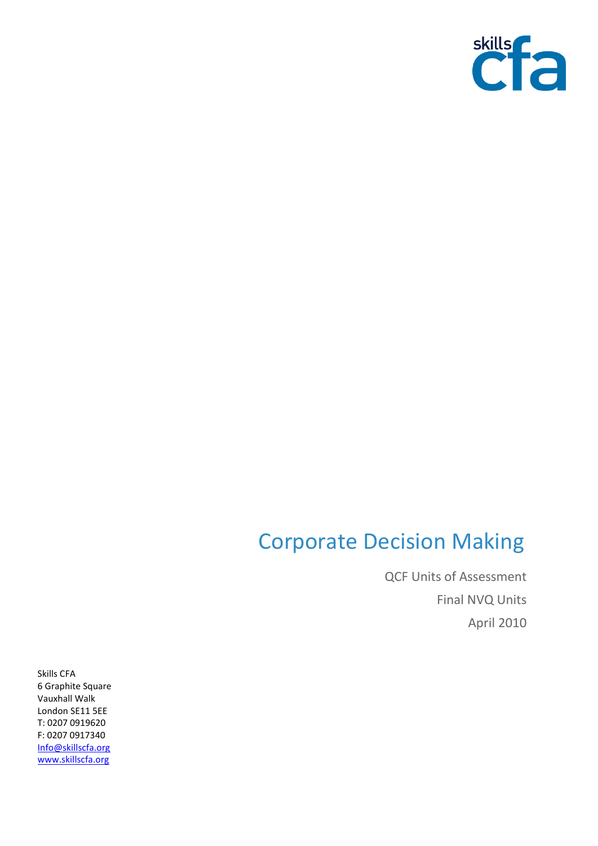

## Corporate Decision Making

QCF Units of Assessment Final NVQ Units April 2010

Skills CFA 6 Graphite Square Vauxhall Walk London SE11 5EE T: 0207 0919620 F: 0207 0917340 [Info@skillscfa.org](mailto:Info@skillscfa.org) [www.skillscfa.org](http://www.skillscfa.org/)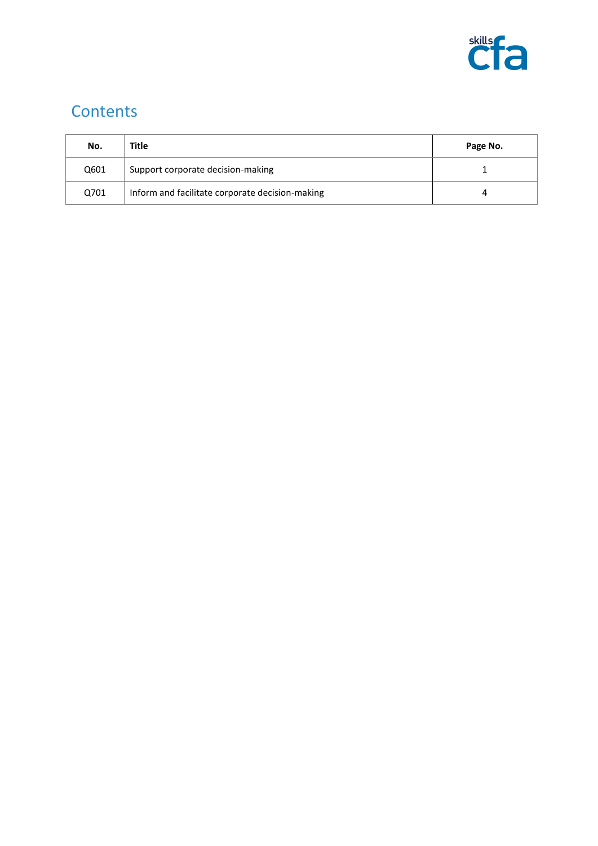

## **Contents**

| No.  | Title                                           | Page No. |
|------|-------------------------------------------------|----------|
| Q601 | Support corporate decision-making               |          |
| Q701 | Inform and facilitate corporate decision-making |          |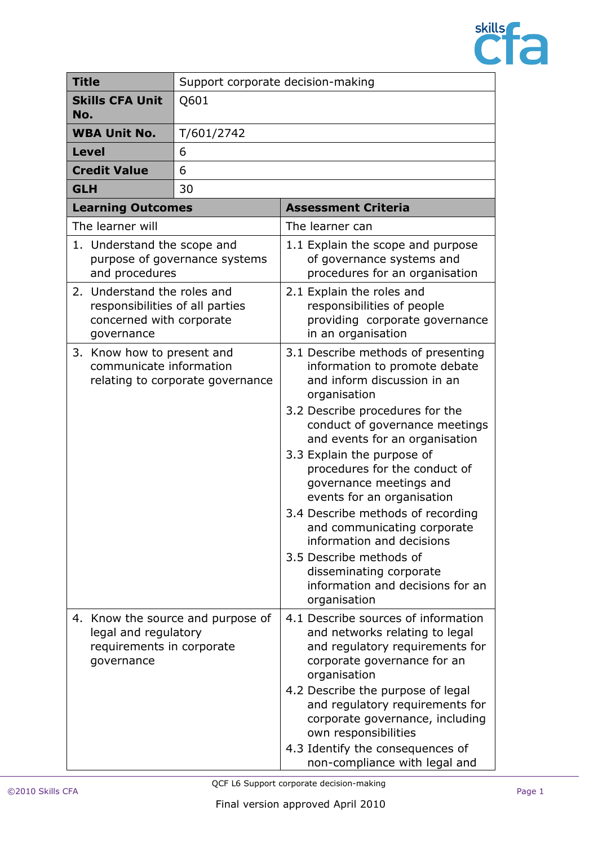

| <b>Title</b>                                                                                             | Support corporate decision-making |                                                                                                                                                                                                                                                                                                                                                                                                                                                                                                                                                              |  |
|----------------------------------------------------------------------------------------------------------|-----------------------------------|--------------------------------------------------------------------------------------------------------------------------------------------------------------------------------------------------------------------------------------------------------------------------------------------------------------------------------------------------------------------------------------------------------------------------------------------------------------------------------------------------------------------------------------------------------------|--|
| <b>Skills CFA Unit</b><br>No.                                                                            | Q601                              |                                                                                                                                                                                                                                                                                                                                                                                                                                                                                                                                                              |  |
| <b>WBA Unit No.</b>                                                                                      | T/601/2742                        |                                                                                                                                                                                                                                                                                                                                                                                                                                                                                                                                                              |  |
| <b>Level</b>                                                                                             | 6                                 |                                                                                                                                                                                                                                                                                                                                                                                                                                                                                                                                                              |  |
| <b>Credit Value</b>                                                                                      | 6                                 |                                                                                                                                                                                                                                                                                                                                                                                                                                                                                                                                                              |  |
| <b>GLH</b>                                                                                               | 30                                |                                                                                                                                                                                                                                                                                                                                                                                                                                                                                                                                                              |  |
| <b>Learning Outcomes</b>                                                                                 |                                   | <b>Assessment Criteria</b>                                                                                                                                                                                                                                                                                                                                                                                                                                                                                                                                   |  |
| The learner will                                                                                         |                                   | The learner can                                                                                                                                                                                                                                                                                                                                                                                                                                                                                                                                              |  |
| 1. Understand the scope and<br>purpose of governance systems<br>and procedures                           |                                   | 1.1 Explain the scope and purpose<br>of governance systems and<br>procedures for an organisation                                                                                                                                                                                                                                                                                                                                                                                                                                                             |  |
| 2. Understand the roles and<br>responsibilities of all parties<br>concerned with corporate<br>governance |                                   | 2.1 Explain the roles and<br>responsibilities of people<br>providing corporate governance<br>in an organisation                                                                                                                                                                                                                                                                                                                                                                                                                                              |  |
| 3. Know how to present and<br>communicate information<br>relating to corporate governance                |                                   | 3.1 Describe methods of presenting<br>information to promote debate<br>and inform discussion in an<br>organisation<br>3.2 Describe procedures for the<br>conduct of governance meetings<br>and events for an organisation<br>3.3 Explain the purpose of<br>procedures for the conduct of<br>governance meetings and<br>events for an organisation<br>3.4 Describe methods of recording<br>and communicating corporate<br>information and decisions<br>3.5 Describe methods of<br>disseminating corporate<br>information and decisions for an<br>organisation |  |
| legal and regulatory<br>requirements in corporate<br>governance                                          | 4. Know the source and purpose of | 4.1 Describe sources of information<br>and networks relating to legal<br>and regulatory requirements for<br>corporate governance for an<br>organisation<br>4.2 Describe the purpose of legal<br>and regulatory requirements for<br>corporate governance, including<br>own responsibilities<br>4.3 Identify the consequences of<br>non-compliance with legal and                                                                                                                                                                                              |  |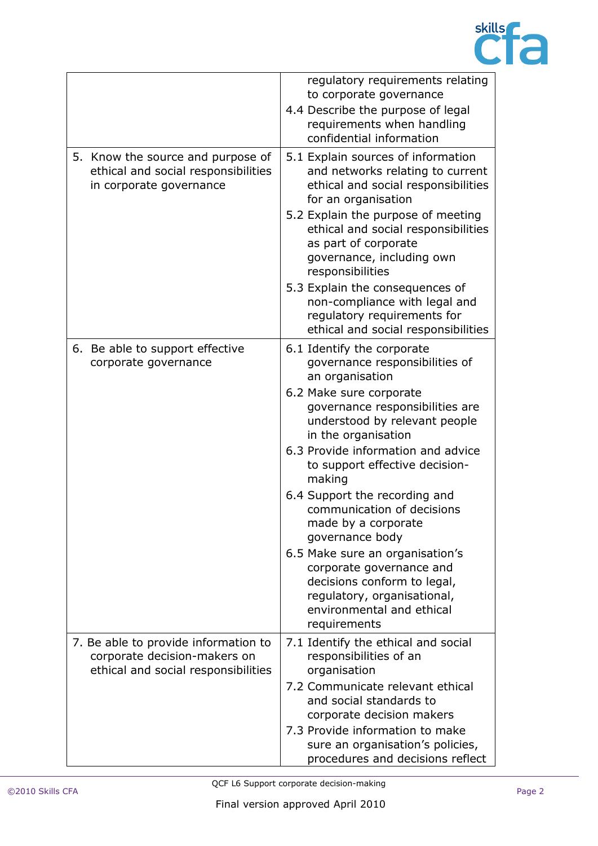

|                                                                                                             | regulatory requirements relating<br>to corporate governance<br>4.4 Describe the purpose of legal<br>requirements when handling<br>confidential information             |
|-------------------------------------------------------------------------------------------------------------|------------------------------------------------------------------------------------------------------------------------------------------------------------------------|
| 5. Know the source and purpose of<br>ethical and social responsibilities<br>in corporate governance         | 5.1 Explain sources of information<br>and networks relating to current<br>ethical and social responsibilities<br>for an organisation                                   |
|                                                                                                             | 5.2 Explain the purpose of meeting<br>ethical and social responsibilities<br>as part of corporate<br>governance, including own<br>responsibilities                     |
|                                                                                                             | 5.3 Explain the consequences of<br>non-compliance with legal and<br>regulatory requirements for<br>ethical and social responsibilities                                 |
| 6. Be able to support effective<br>corporate governance                                                     | 6.1 Identify the corporate<br>governance responsibilities of<br>an organisation                                                                                        |
|                                                                                                             | 6.2 Make sure corporate<br>governance responsibilities are<br>understood by relevant people<br>in the organisation                                                     |
|                                                                                                             | 6.3 Provide information and advice<br>to support effective decision-<br>making                                                                                         |
|                                                                                                             | 6.4 Support the recording and<br>communication of decisions<br>made by a corporate<br>governance body                                                                  |
|                                                                                                             | 6.5 Make sure an organisation's<br>corporate governance and<br>decisions conform to legal,<br>regulatory, organisational,<br>environmental and ethical<br>requirements |
| 7. Be able to provide information to<br>corporate decision-makers on<br>ethical and social responsibilities | 7.1 Identify the ethical and social<br>responsibilities of an<br>organisation                                                                                          |
|                                                                                                             | 7.2 Communicate relevant ethical<br>and social standards to<br>corporate decision makers                                                                               |
|                                                                                                             | 7.3 Provide information to make<br>sure an organisation's policies,<br>procedures and decisions reflect                                                                |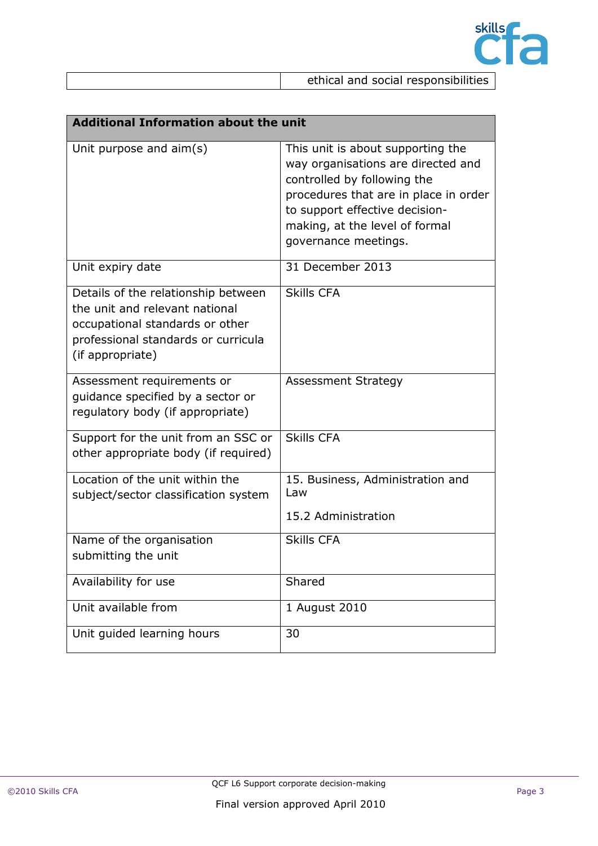

| <b>Additional Information about the unit</b>                                                                                                                        |                                                                                                                                                                                                                                             |  |
|---------------------------------------------------------------------------------------------------------------------------------------------------------------------|---------------------------------------------------------------------------------------------------------------------------------------------------------------------------------------------------------------------------------------------|--|
| Unit purpose and aim(s)                                                                                                                                             | This unit is about supporting the<br>way organisations are directed and<br>controlled by following the<br>procedures that are in place in order<br>to support effective decision-<br>making, at the level of formal<br>governance meetings. |  |
| Unit expiry date                                                                                                                                                    | 31 December 2013                                                                                                                                                                                                                            |  |
| Details of the relationship between<br>the unit and relevant national<br>occupational standards or other<br>professional standards or curricula<br>(if appropriate) | <b>Skills CFA</b>                                                                                                                                                                                                                           |  |
| Assessment requirements or<br>guidance specified by a sector or<br>regulatory body (if appropriate)                                                                 | <b>Assessment Strategy</b>                                                                                                                                                                                                                  |  |
| Support for the unit from an SSC or<br>other appropriate body (if required)                                                                                         | <b>Skills CFA</b>                                                                                                                                                                                                                           |  |
| Location of the unit within the<br>subject/sector classification system                                                                                             | 15. Business, Administration and<br>Law<br>15.2 Administration                                                                                                                                                                              |  |
| Name of the organisation<br>submitting the unit                                                                                                                     | <b>Skills CFA</b>                                                                                                                                                                                                                           |  |
| Availability for use                                                                                                                                                | Shared                                                                                                                                                                                                                                      |  |
| Unit available from                                                                                                                                                 | 1 August 2010                                                                                                                                                                                                                               |  |
| Unit guided learning hours                                                                                                                                          | 30                                                                                                                                                                                                                                          |  |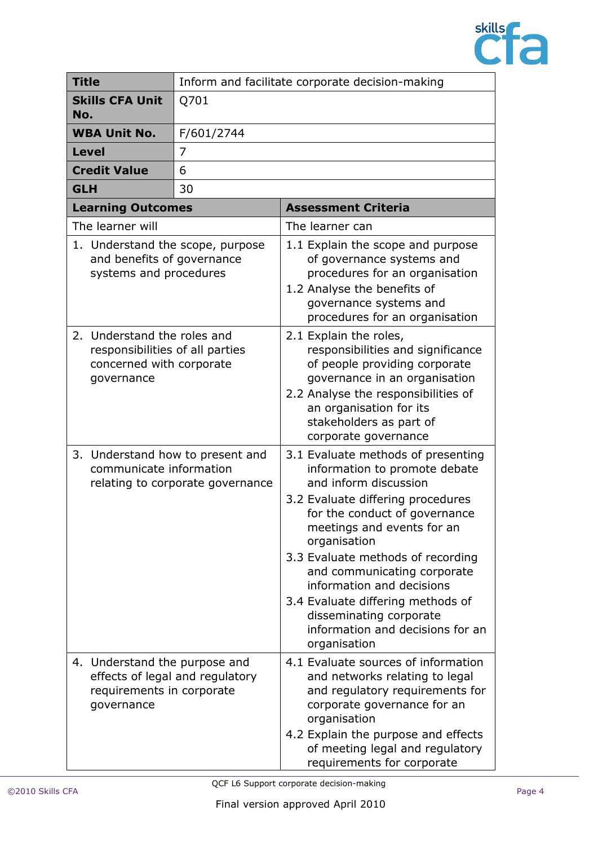

| <b>Title</b>                                                                                    |                                                                                                          | Inform and facilitate corporate decision-making |                                                                                                                                                                                                                                                                                                                                                                                                                                       |
|-------------------------------------------------------------------------------------------------|----------------------------------------------------------------------------------------------------------|-------------------------------------------------|---------------------------------------------------------------------------------------------------------------------------------------------------------------------------------------------------------------------------------------------------------------------------------------------------------------------------------------------------------------------------------------------------------------------------------------|
| <b>Skills CFA Unit</b><br>No.                                                                   |                                                                                                          | Q701                                            |                                                                                                                                                                                                                                                                                                                                                                                                                                       |
| <b>WBA Unit No.</b>                                                                             |                                                                                                          | F/601/2744                                      |                                                                                                                                                                                                                                                                                                                                                                                                                                       |
| Level                                                                                           |                                                                                                          | 7                                               |                                                                                                                                                                                                                                                                                                                                                                                                                                       |
| <b>Credit Value</b>                                                                             |                                                                                                          | 6                                               |                                                                                                                                                                                                                                                                                                                                                                                                                                       |
| <b>GLH</b>                                                                                      |                                                                                                          | 30                                              |                                                                                                                                                                                                                                                                                                                                                                                                                                       |
|                                                                                                 | <b>Learning Outcomes</b>                                                                                 |                                                 | <b>Assessment Criteria</b>                                                                                                                                                                                                                                                                                                                                                                                                            |
| The learner will                                                                                |                                                                                                          |                                                 | The learner can                                                                                                                                                                                                                                                                                                                                                                                                                       |
| 1. Understand the scope, purpose<br>and benefits of governance<br>systems and procedures        |                                                                                                          |                                                 | 1.1 Explain the scope and purpose<br>of governance systems and<br>procedures for an organisation<br>1.2 Analyse the benefits of<br>governance systems and<br>procedures for an organisation                                                                                                                                                                                                                                           |
|                                                                                                 | 2. Understand the roles and<br>responsibilities of all parties<br>concerned with corporate<br>governance |                                                 | 2.1 Explain the roles,<br>responsibilities and significance<br>of people providing corporate<br>governance in an organisation<br>2.2 Analyse the responsibilities of<br>an organisation for its<br>stakeholders as part of<br>corporate governance                                                                                                                                                                                    |
| 3. Understand how to present and<br>communicate information<br>relating to corporate governance |                                                                                                          |                                                 | 3.1 Evaluate methods of presenting<br>information to promote debate<br>and inform discussion<br>3.2 Evaluate differing procedures<br>for the conduct of governance<br>meetings and events for an<br>organisation<br>3.3 Evaluate methods of recording<br>and communicating corporate<br>information and decisions<br>3.4 Evaluate differing methods of<br>disseminating corporate<br>information and decisions for an<br>organisation |
|                                                                                                 | 4. Understand the purpose and<br>requirements in corporate<br>governance                                 | effects of legal and regulatory                 | 4.1 Evaluate sources of information<br>and networks relating to legal<br>and regulatory requirements for<br>corporate governance for an<br>organisation<br>4.2 Explain the purpose and effects<br>of meeting legal and regulatory<br>requirements for corporate                                                                                                                                                                       |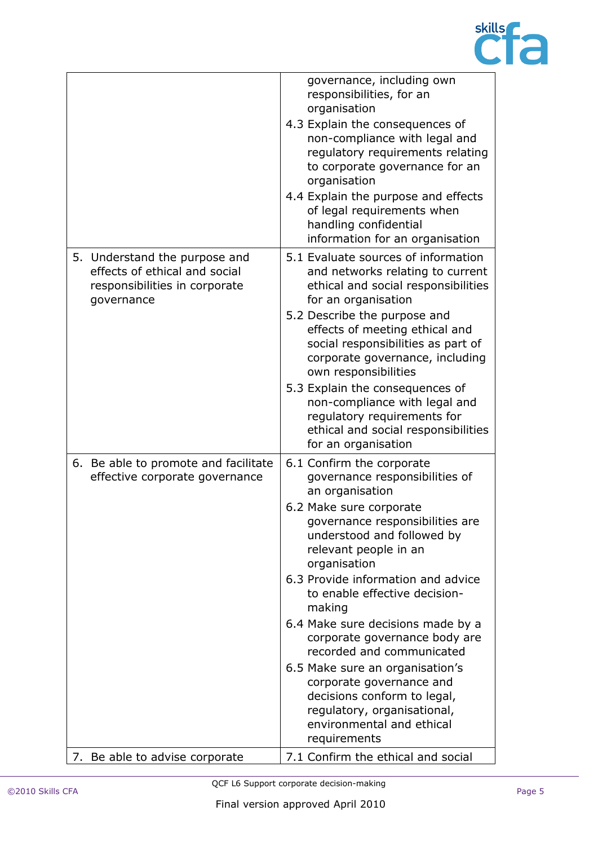

|                                                                                                               | governance, including own<br>responsibilities, for an<br>organisation<br>4.3 Explain the consequences of<br>non-compliance with legal and<br>regulatory requirements relating<br>to corporate governance for an<br>organisation<br>4.4 Explain the purpose and effects<br>of legal requirements when<br>handling confidential<br>information for an organisation                                                                                                                                                                                                                  |
|---------------------------------------------------------------------------------------------------------------|-----------------------------------------------------------------------------------------------------------------------------------------------------------------------------------------------------------------------------------------------------------------------------------------------------------------------------------------------------------------------------------------------------------------------------------------------------------------------------------------------------------------------------------------------------------------------------------|
| 5. Understand the purpose and<br>effects of ethical and social<br>responsibilities in corporate<br>governance | 5.1 Evaluate sources of information<br>and networks relating to current<br>ethical and social responsibilities<br>for an organisation<br>5.2 Describe the purpose and<br>effects of meeting ethical and<br>social responsibilities as part of<br>corporate governance, including<br>own responsibilities<br>5.3 Explain the consequences of<br>non-compliance with legal and<br>regulatory requirements for<br>ethical and social responsibilities<br>for an organisation                                                                                                         |
| 6. Be able to promote and facilitate<br>effective corporate governance                                        | 6.1 Confirm the corporate<br>governance responsibilities of<br>an organisation<br>6.2 Make sure corporate<br>governance responsibilities are<br>understood and followed by<br>relevant people in an<br>organisation<br>6.3 Provide information and advice<br>to enable effective decision-<br>making<br>6.4 Make sure decisions made by a<br>corporate governance body are<br>recorded and communicated<br>6.5 Make sure an organisation's<br>corporate governance and<br>decisions conform to legal,<br>regulatory, organisational,<br>environmental and ethical<br>requirements |
| 7. Be able to advise corporate                                                                                | 7.1 Confirm the ethical and social                                                                                                                                                                                                                                                                                                                                                                                                                                                                                                                                                |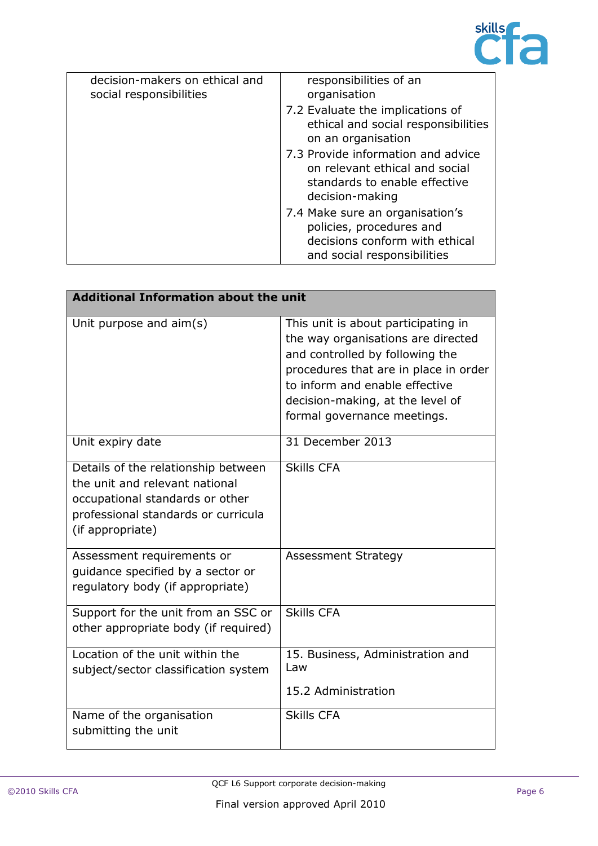

| decision-makers on ethical and<br>social responsibilities | responsibilities of an<br>organisation                                                                                       |
|-----------------------------------------------------------|------------------------------------------------------------------------------------------------------------------------------|
|                                                           | 7.2 Evaluate the implications of<br>ethical and social responsibilities<br>on an organisation                                |
|                                                           | 7.3 Provide information and advice<br>on relevant ethical and social<br>standards to enable effective<br>decision-making     |
|                                                           | 7.4 Make sure an organisation's<br>policies, procedures and<br>decisions conform with ethical<br>and social responsibilities |

| <b>Additional Information about the unit</b>                                                                                                                        |                                                                                                                                                                                                                                                            |  |
|---------------------------------------------------------------------------------------------------------------------------------------------------------------------|------------------------------------------------------------------------------------------------------------------------------------------------------------------------------------------------------------------------------------------------------------|--|
| Unit purpose and $\text{aim}(s)$                                                                                                                                    | This unit is about participating in<br>the way organisations are directed<br>and controlled by following the<br>procedures that are in place in order<br>to inform and enable effective<br>decision-making, at the level of<br>formal governance meetings. |  |
| Unit expiry date                                                                                                                                                    | 31 December 2013                                                                                                                                                                                                                                           |  |
| Details of the relationship between<br>the unit and relevant national<br>occupational standards or other<br>professional standards or curricula<br>(if appropriate) | <b>Skills CFA</b>                                                                                                                                                                                                                                          |  |
| Assessment requirements or<br>quidance specified by a sector or<br>regulatory body (if appropriate)                                                                 | <b>Assessment Strategy</b>                                                                                                                                                                                                                                 |  |
| Support for the unit from an SSC or<br>other appropriate body (if required)                                                                                         | <b>Skills CFA</b>                                                                                                                                                                                                                                          |  |
| Location of the unit within the<br>subject/sector classification system                                                                                             | 15. Business, Administration and<br>Law<br>15.2 Administration                                                                                                                                                                                             |  |
| Name of the organisation<br>submitting the unit                                                                                                                     | <b>Skills CFA</b>                                                                                                                                                                                                                                          |  |